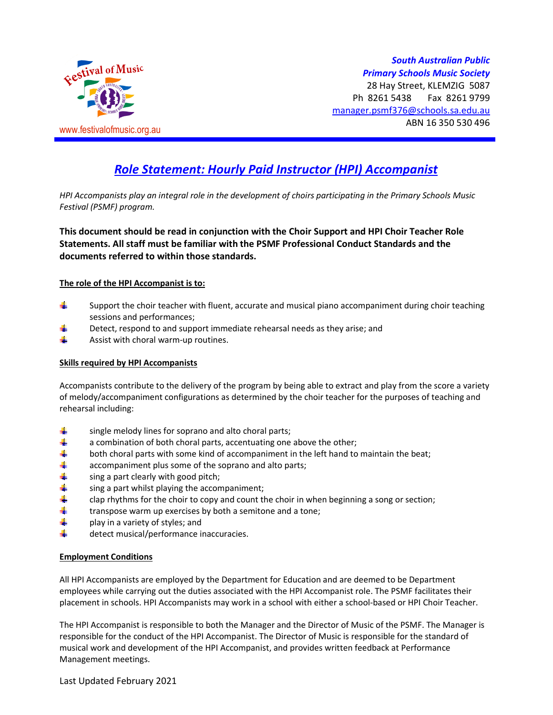

# *Role Statement: Hourly Paid Instructor (HPI) Accompanist*

*HPI Accompanists play an integral role in the development of choirs participating in the Primary Schools Music Festival (PSMF) program.* 

**This document should be read in conjunction with the Choir Support and HPI Choir Teacher Role Statements. All staff must be familiar with the PSMF Professional Conduct Standards and the documents referred to within those standards.** 

#### **The role of the HPI Accompanist is to:**

- ÷. Support the choir teacher with fluent, accurate and musical piano accompaniment during choir teaching sessions and performances;
- d. Detect, respond to and support immediate rehearsal needs as they arise; and
- ÷. Assist with choral warm-up routines.

## **Skills required by HPI Accompanists**

Accompanists contribute to the delivery of the program by being able to extract and play from the score a variety of melody/accompaniment configurations as determined by the choir teacher for the purposes of teaching and rehearsal including:

- ₩ single melody lines for soprano and alto choral parts;
- 4 a combination of both choral parts, accentuating one above the other;
- ÷ both choral parts with some kind of accompaniment in the left hand to maintain the beat;
- ÷ accompaniment plus some of the soprano and alto parts;
- ÷ sing a part clearly with good pitch;
- 4 sing a part whilst playing the accompaniment;
- ÷ clap rhythms for the choir to copy and count the choir in when beginning a song or section;
- ÷ transpose warm up exercises by both a semitone and a tone;
- ÷ play in a variety of styles; and
- ÷ detect musical/performance inaccuracies.

#### **Employment Conditions**

All HPI Accompanists are employed by the Department for Education and are deemed to be Department employees while carrying out the duties associated with the HPI Accompanist role. The PSMF facilitates their placement in schools. HPI Accompanists may work in a school with either a school-based or HPI Choir Teacher.

The HPI Accompanist is responsible to both the Manager and the Director of Music of the PSMF. The Manager is responsible for the conduct of the HPI Accompanist. The Director of Music is responsible for the standard of musical work and development of the HPI Accompanist, and provides written feedback at Performance Management meetings.

Last Updated February 2021